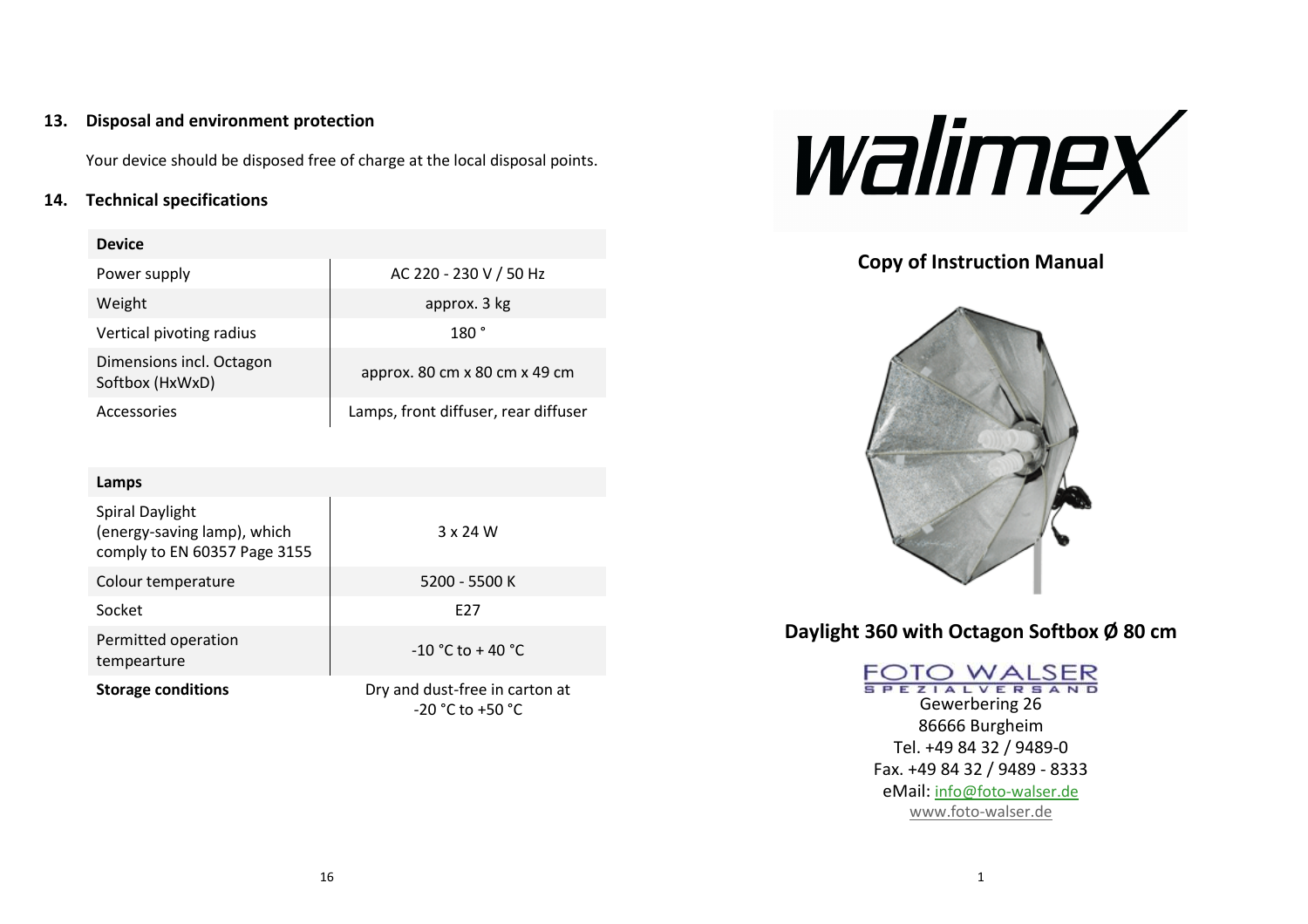#### **13.Disposal and environment protection**

Your device should be disposed free of charge at the local disposal points.

#### **14. Technical specifications**

| <b>Device</b>                               |                                      |
|---------------------------------------------|--------------------------------------|
| Power supply                                | AC 220 - 230 V / 50 Hz               |
| Weight                                      | approx. 3 kg                         |
| Vertical pivoting radius                    | 180 °                                |
| Dimensions incl. Octagon<br>Softbox (HxWxD) | approx. 80 cm x 80 cm x 49 cm        |
| Accessories                                 | Lamps, front diffuser, rear diffuser |

| Lamps                                                                                 |                                                        |
|---------------------------------------------------------------------------------------|--------------------------------------------------------|
| <b>Spiral Daylight</b><br>(energy-saving lamp), which<br>comply to EN 60357 Page 3155 | 3 x 24 W                                               |
| Colour temperature                                                                    | 5200 - 5500 K                                          |
| Socket                                                                                | F <sub>27</sub>                                        |
| Permitted operation<br>tempearture                                                    | $-10 °C$ to $+40 °C$                                   |
| <b>Storage conditions</b>                                                             | Dry and dust-free in carton at<br>$-20 °C$ to $+50 °C$ |



**Copy of Instruction Manual** 



**Daylight 360 with Octagon Softbox Ø 80 cm**

FOTO WALSER Gewerbering 26 86666 Burgheim Tel. +49 84 32 / 9489-0 Fax. +49 84 32 / 9489 - 8333 eMail: info@foto-walser.dewww.foto-walser.de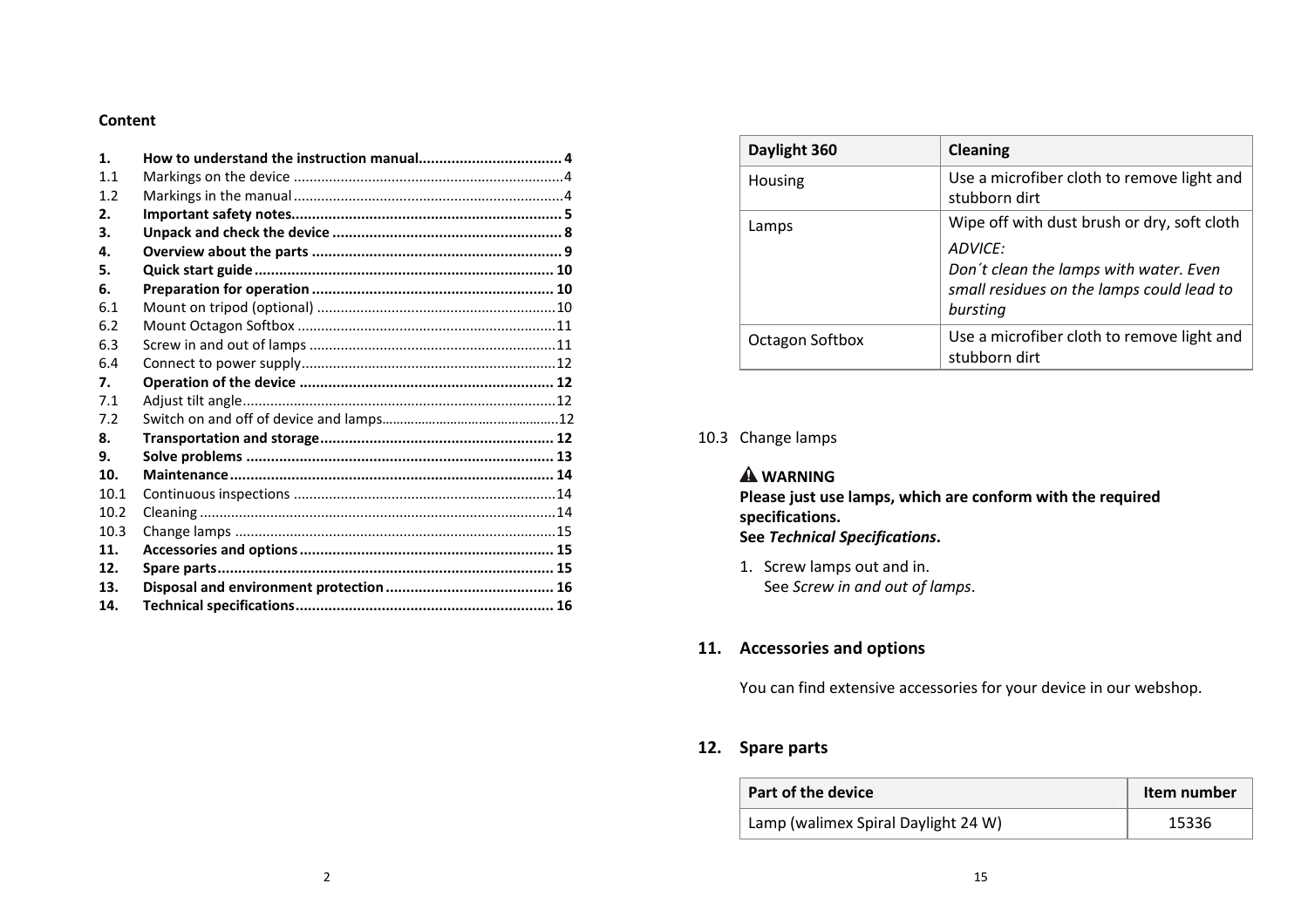#### **Content**

| $\mathbf{1}$ . |  |
|----------------|--|
| 11             |  |
| 1.2            |  |
| 2.             |  |
| з.             |  |
| 4.             |  |
| 5.             |  |
| 6.             |  |
| 6.1            |  |
| 6.2            |  |
| 6.3            |  |
| 6.4            |  |
| 7.             |  |
| 7.1            |  |
| 7.2            |  |
| 8.             |  |
| 9.             |  |
| 10.            |  |
| 10.1           |  |
| 10.2           |  |
| 10.3           |  |
| 11.            |  |
| 12.            |  |
| 13.            |  |
| 14.            |  |

| Daylight 360           | <b>Cleaning</b>                                                                                            |
|------------------------|------------------------------------------------------------------------------------------------------------|
| Housing                | Use a microfiber cloth to remove light and<br>stubborn dirt                                                |
| Lamps                  | Wipe off with dust brush or dry, soft cloth                                                                |
|                        | ADVICE:<br>Don't clean the lamps with water. Even<br>small residues on the lamps could lead to<br>bursting |
| <b>Octagon Softbox</b> | Use a microfiber cloth to remove light and<br>stubborn dirt                                                |

## 10.3 Change lamps

#### **WARNING**

 **Please just use lamps, which are conform with the required specifications. See** *Technical Specifications***.** 

1. Screw lamps out and in. See *Screw in and out of lamps*.

#### **11. Accessories and options**

You can find extensive accessories for your device in our webshop.

#### **12. Spare parts**

| Part of the device                  | Item number |
|-------------------------------------|-------------|
| Lamp (walimex Spiral Daylight 24 W) | 15336       |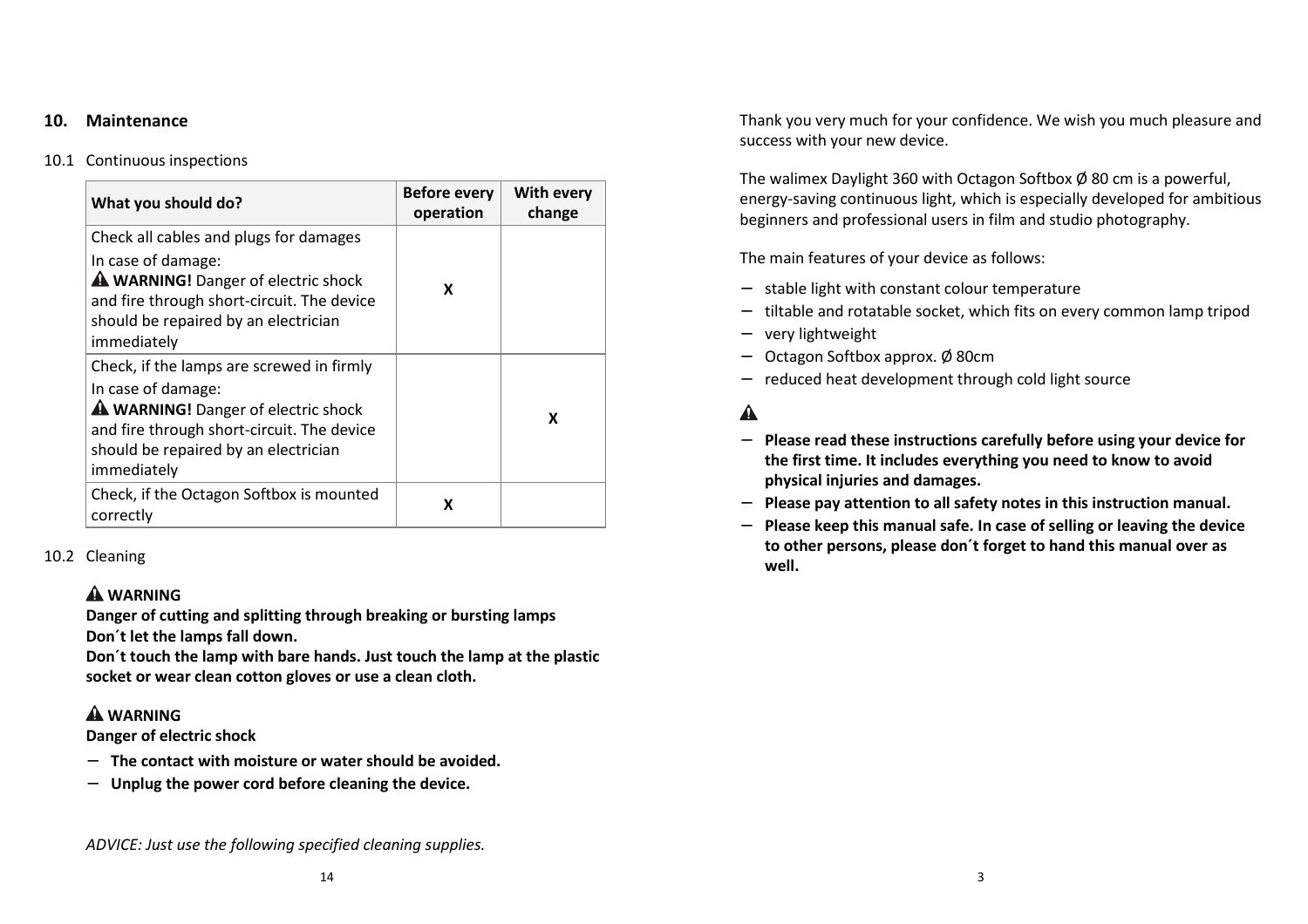#### **10. Maintenance**

# 10.1 Continuous inspections

| What you should do?                                                                                                                                                                                         | <b>Before every</b><br>operation | With every<br>change |
|-------------------------------------------------------------------------------------------------------------------------------------------------------------------------------------------------------------|----------------------------------|----------------------|
| Check all cables and plugs for damages<br>In case of damage:<br>A WARNING! Danger of electric shock<br>and fire through short-circuit. The device<br>should be repaired by an electrician<br>immediately    | x                                |                      |
| Check, if the lamps are screwed in firmly<br>In case of damage:<br>A WARNING! Danger of electric shock<br>and fire through short-circuit. The device<br>should be repaired by an electrician<br>immediately |                                  | x                    |
| Check, if the Octagon Softbox is mounted<br>correctly                                                                                                                                                       | x                                |                      |

## 10.2 Cleaning

## **WARNING**

 **Danger of cutting and splitting through breaking or bursting lamps Don´t let the lamps fall down.** 

**Don´t touch the lamp with bare hands. Just touch the lamp at the plastic socket or wear clean cotton gloves or use a clean cloth.** 

## **WARNING**

**Danger of electric shock** 

- − **The contact with moisture or water should be avoided.**
- − **Unplug the power cord before cleaning the device.**

*ADVICE: Just use the following specified cleaning supplies.*

Thank you very much for your confidence. We wish you much pleasure and success with your new device.

The walimex Daylight 360 with Octagon Softbox Ø 80 cm is a powerful, energy-saving continuous light, which is especially developed for ambitious beginners and professional users in film and studio photography.

The main features of your device as follows:

- − stable light with constant colour temperature
- −tiltable and rotatable socket, which fits on every common lamp tripod
- −very lightweight
- Octagon Softbox approx. Ø 80cm
- − reduced heat development through cold light source

# $\blacktriangle$

- − **Please read these instructions carefully before using your device for the first time. It includes everything you need to know to avoid physical injuries and damages.**
- −**Please pay attention to all safety notes in this instruction manual.**
- − **Please keep this manual safe. In case of selling or leaving the device to other persons, please don´t forget to hand this manual over as well.**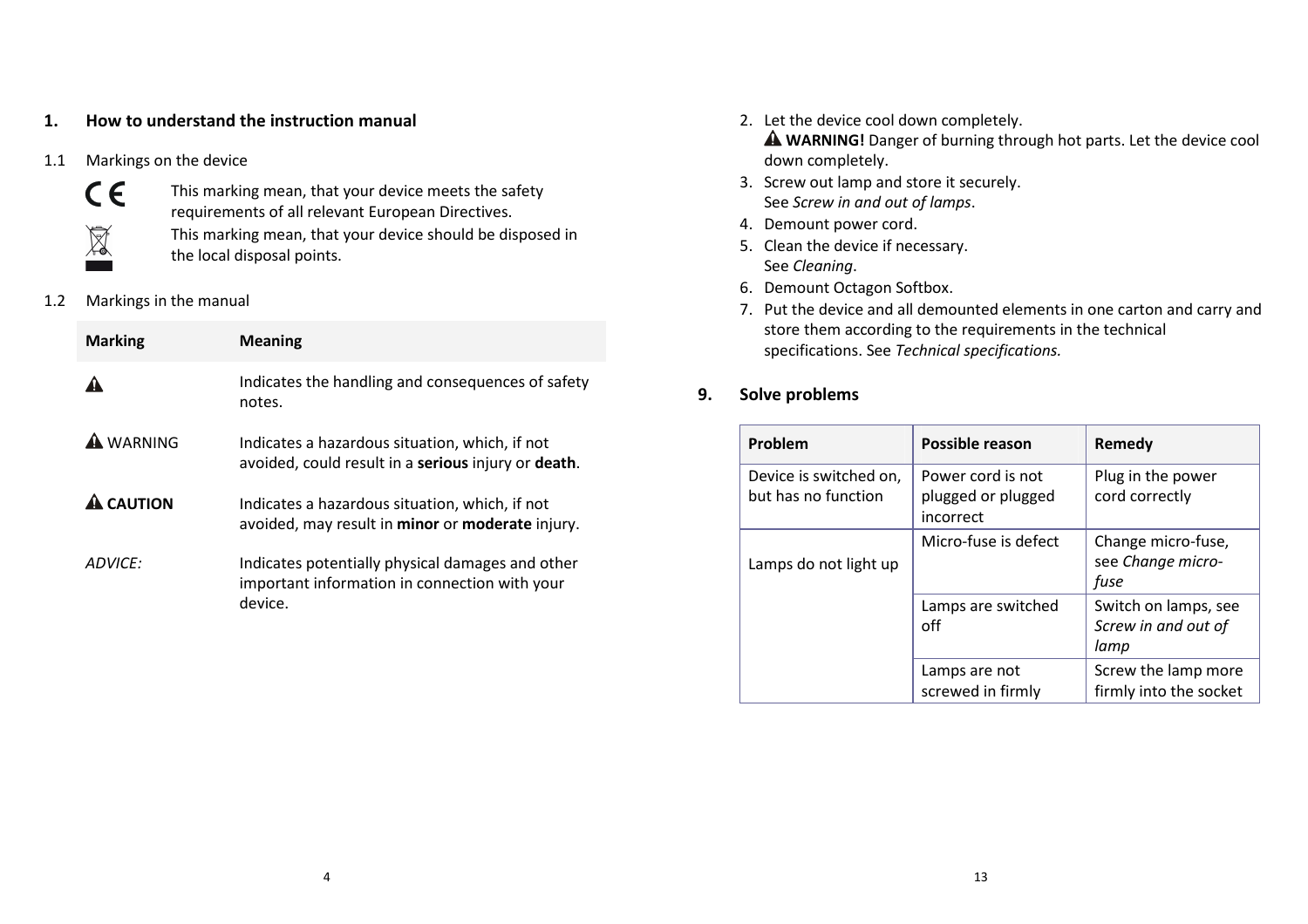#### **1.How to understand the instruction manual**

1.1Markings on the device



This marking mean, that your device meets the safety requirements of all relevant European Directives.

This marking mean, that your device should be disposed in the local disposal points.

1.2Markings in the manual

| <b>Marking</b>   | <b>Meaning</b>                                                                                               |
|------------------|--------------------------------------------------------------------------------------------------------------|
|                  | Indicates the handling and consequences of safety<br>notes.                                                  |
| <b>A</b> WARNING | Indicates a hazardous situation, which, if not<br>avoided, could result in a serious injury or death.        |
| <b>A CAUTION</b> | Indicates a hazardous situation, which, if not<br>avoided, may result in minor or moderate injury.           |
| ADVICF:          | Indicates potentially physical damages and other<br>important information in connection with your<br>device. |

- 2. Let the device cool down completely. **WARNING!** Danger of burning through hot parts. Let the device cool down completely.
- 3. Screw out lamp and store it securely. See *Screw in and out of lamps*.
- 4. Demount power cord.
- 5. Clean the device if necessary. See *Cleaning*.
- 6. Demount Octagon Softbox.
- 7. Put the device and all demounted elements in one carton and carry and store them according to the requirements in the technical specifications. See *Technical specifications.*
- **9.Solve problems**

| Problem                                       | Possible reason                                      | Remedy                                              |
|-----------------------------------------------|------------------------------------------------------|-----------------------------------------------------|
| Device is switched on,<br>but has no function | Power cord is not<br>plugged or plugged<br>incorrect | Plug in the power<br>cord correctly                 |
| Lamps do not light up                         | Micro-fuse is defect                                 | Change micro-fuse,<br>see Change micro-<br>fuse     |
|                                               | Lamps are switched<br>off                            | Switch on lamps, see<br>Screw in and out of<br>lamp |
|                                               | Lamps are not<br>screwed in firmly                   | Screw the lamp more<br>firmly into the socket       |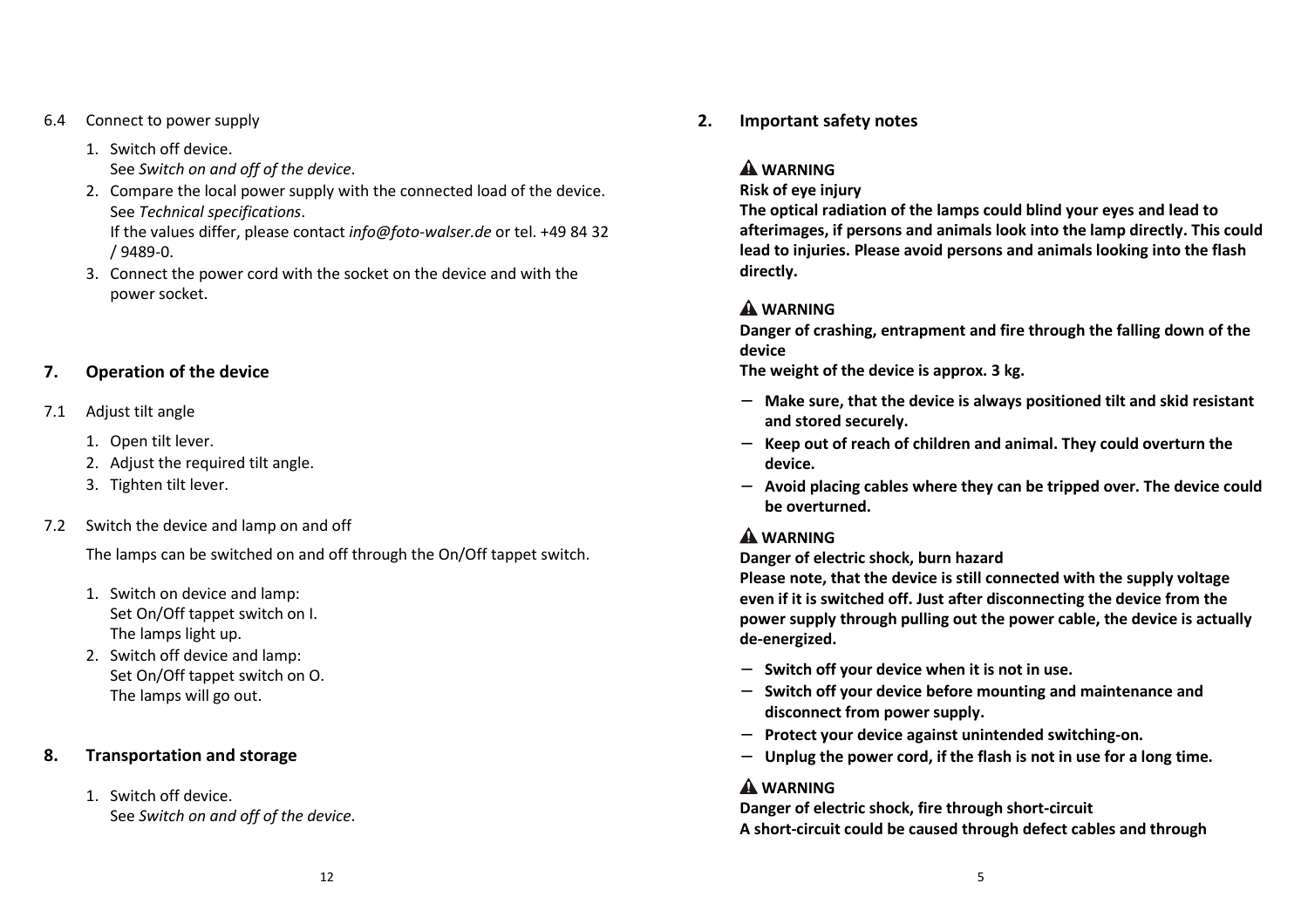6.4Connect to power supply

/ 9489-0.

- 1. Switch off device. See *Switch on and off of the device*.
- 2. Compare the local power supply with the connected load of the device. See *Technical specifications*. If the values differ, please contact *info@foto-walser.de* or tel. +49 84 32
- 3. Connect the power cord with the socket on the device and with the power socket.

#### **7.Operation of the device**

- 7.1 Adjust tilt angle
	- 1. Open tilt lever.
	- 2. Adjust the required tilt angle.
	- 3. Tighten tilt lever.
- 7.2Switch the device and lamp on and off

The lamps can be switched on and off through the On/Off tappet switch.

- 1. Switch on device and lamp: Set On/Off tappet switch on I. The lamps light up.
- 2. Switch off device and lamp: Set On/Off tappet switch on O. The lamps will go out.

#### **8.Transportation and storage**

1. Switch off device. See *Switch on and off of the device*.

#### **2.Important safety notes**

#### **WARNING**

**Risk of eye injury** 

**The optical radiation of the lamps could blind your eyes and lead to afterimages, if persons and animals look into the lamp directly. This could lead to injuries. Please avoid persons and animals looking into the flash directly.** 

## **WARNING**

**Danger of crashing, entrapment and fire through the falling down of the device** 

**The weight of the device is approx. 3 kg.** 

- − **Make sure, that the device is always positioned tilt and skid resistant and stored securely.**
- − **Keep out of reach of children and animal. They could overturn the device.**
- − **Avoid placing cables where they can be tripped over. The device could be overturned.**

## **WARNING**

**Danger of electric shock, burn hazard** 

**Please note, that the device is still connected with the supply voltage even if it is switched off. Just after disconnecting the device from the power supply through pulling out the power cable, the device is actually de-energized.** 

- − **Switch off your device when it is not in use.**
- − **Switch off your device before mounting and maintenance and disconnect from power supply.**
- −**Protect your device against unintended switching-on.**
- −**Unplug the power cord, if the flash is not in use for a long time.**

## **WARNING**

**Danger of electric shock, fire through short-circuit A short-circuit could be caused through defect cables and through**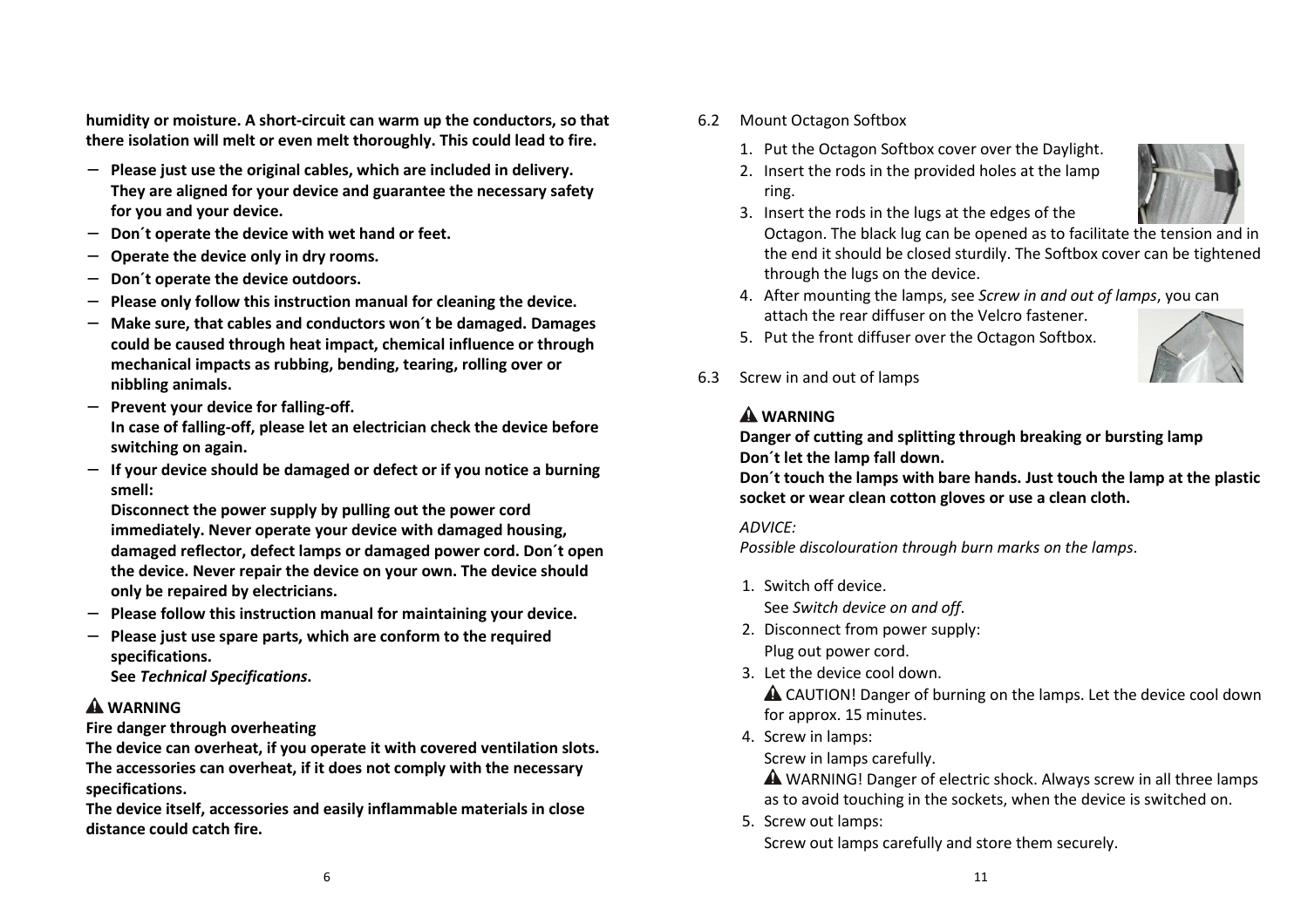**humidity or moisture. A short-circuit can warm up the conductors, so that there isolation will melt or even melt thoroughly. This could lead to fire.** 

- − **Please just use the original cables, which are included in delivery. They are aligned for your device and guarantee the necessary safety for you and your device.**
- **Don´t operate the device with wet hand or feet.**
- −**Operate the device only in dry rooms.**
- −**Don´t operate the device outdoors.**
- **Please only follow this instruction manual for cleaning the device.**
- − **Make sure, that cables and conductors won´t be damaged. Damages could be caused through heat impact, chemical influence or through mechanical impacts as rubbing, bending, tearing, rolling over or nibbling animals.**
- − **Prevent your device for falling-off. In case of falling-off, please let an electrician check the device before switching on again.**
- − **If your device should be damaged or defect or if you notice a burning smell:**

**Disconnect the power supply by pulling out the power cord immediately. Never operate your device with damaged housing, damaged reflector, defect lamps or damaged power cord. Don´t open the device. Never repair the device on your own. The device should only be repaired by electricians.** 

- − **Please follow this instruction manual for maintaining your device.**
- − **Please just use spare parts, which are conform to the required specifications.**

**See** *Technical Specifications***.** 

## **WARNING**

**Fire danger through overheating** 

**The device can overheat, if you operate it with covered ventilation slots. The accessories can overheat, if it does not comply with the necessary specifications.** 

 **The device itself, accessories and easily inflammable materials in close distance could catch fire.** 

- 6.2 Mount Octagon Softbox
	- 1. Put the Octagon Softbox cover over the Daylight.
	- 2. Insert the rods in the provided holes at the lamp ring.



- 3. Insert the rods in the lugs at the edges of the
	- Octagon. The black lug can be opened as to facilitate the tension and in the end it should be closed sturdily. The Softbox cover can be tightened through the lugs on the device.
- 4. After mounting the lamps, see *Screw in and out of lamps*, you can attach the rear diffuser on the Velcro fastener.
- 5. Put the front diffuser over the Octagon Softbox.



## **WARNING**

 **Danger of cutting and splitting through breaking or bursting lamp Don´t let the lamp fall down.** 

 **Don´t touch the lamps with bare hands. Just touch the lamp at the plastic socket or wear clean cotton gloves or use a clean cloth.** 

#### *ADVICE:*

*Possible discolouration through burn marks on the lamps*.

1. Switch off device.

See *Switch device on and off*.

- 2. Disconnect from power supply: Plug out power cord.
- 3. Let the device cool down.

**A** CAUTION! Danger of burning on the lamps. Let the device cool down for approx. 15 minutes.

4. Screw in lamps:

Screw in lamps carefully.

 WARNING! Danger of electric shock. Always screw in all three lamps as to avoid touching in the sockets, when the device is switched on.

5. Screw out lamps:

Screw out lamps carefully and store them securely.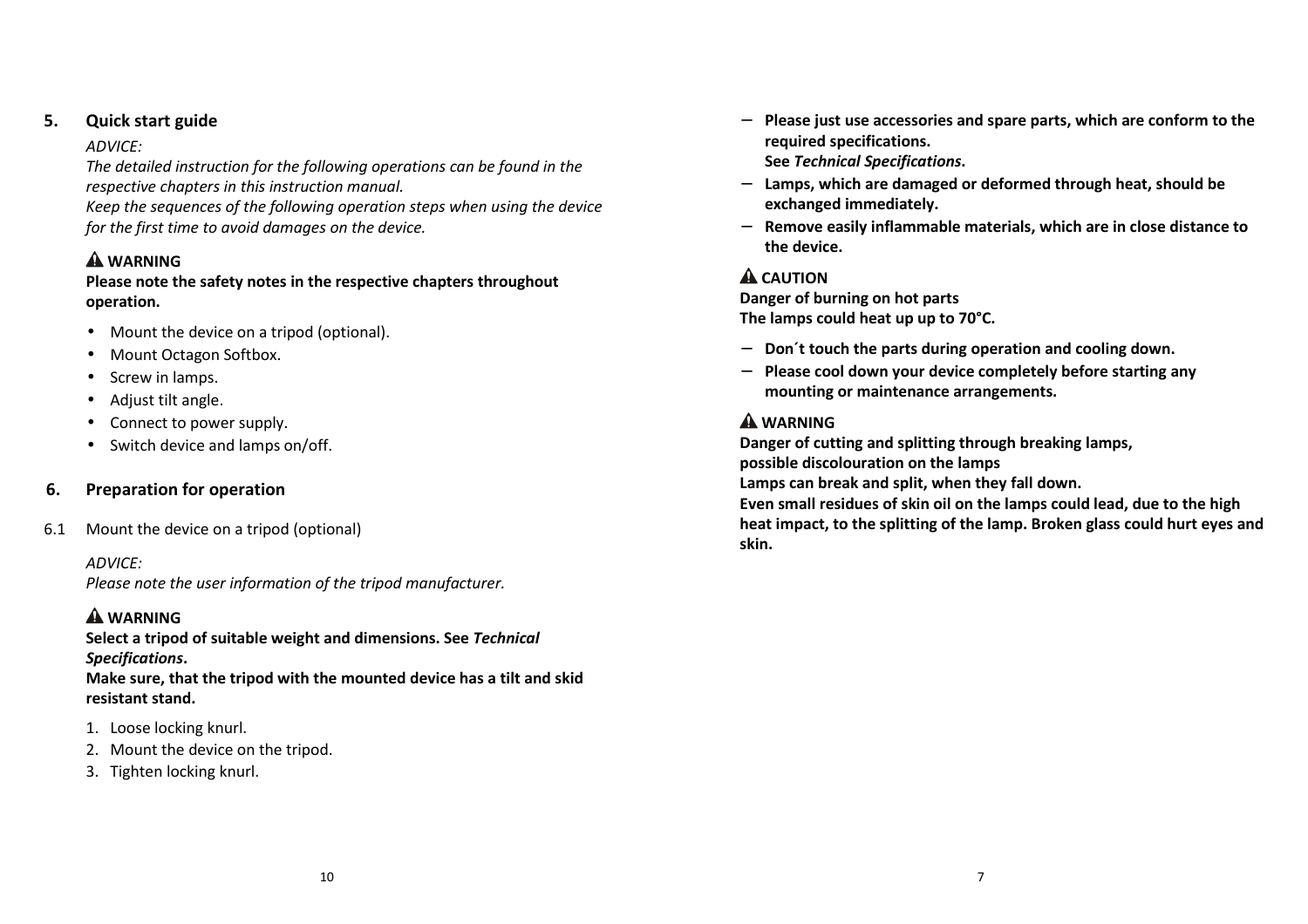#### **5.Quick start guide**

#### *ADVICE:*

 *The detailed instruction for the following operations can be found in the respective chapters in this instruction manual.* 

*Keep the sequences of the following operation steps when using the device for the first time to avoid damages on the device.* 

## **WARNING**

#### **Please note the safety notes in the respective chapters throughout operation.**

- Mount the device on a tripod (optional).
- Mount Octagon Softbox.
- Screw in lamps.
- Adjust tilt angle.
- Connect to power supply.
- Switch device and lamps on/off.

#### **6.Preparation for operation**

6.1Mount the device on a tripod (optional)

*ADVICE:* 

*Please note the user information of the tripod manufacturer.*

#### **WARNING**

 **Select a tripod of suitable weight and dimensions. See** *Technical Specifications***.** 

**Make sure, that the tripod with the mounted device has a tilt and skid resistant stand.** 

- 1. Loose locking knurl.
- 2. Mount the device on the tripod.
- 3. Tighten locking knurl.
- 
- 
- 

- 
- 

- Please just use accessories and spare parts, which are conform to the<br>required specifications.<br>See *Technical Specifications*.<br>- Lamps, which are damaged or deformed through heat, should be<br>exchanged immediately.<br>- Remo